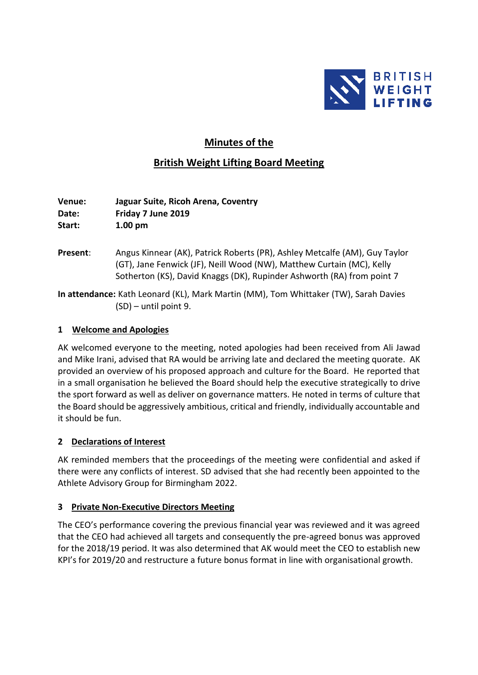

# **Minutes of the**

## **British Weight Lifting Board Meeting**

**Venue: Jaguar Suite, Ricoh Arena, Coventry Date: Friday 7 June 2019 Start: 1.00 pm**

**Present**: Angus Kinnear (AK), Patrick Roberts (PR), Ashley Metcalfe (AM), Guy Taylor (GT), Jane Fenwick (JF), Neill Wood (NW), Matthew Curtain (MC), Kelly Sotherton (KS), David Knaggs (DK), Rupinder Ashworth (RA) from point 7

**In attendance:** Kath Leonard (KL), Mark Martin (MM), Tom Whittaker (TW), Sarah Davies (SD) – until point 9.

#### **1 Welcome and Apologies**

AK welcomed everyone to the meeting, noted apologies had been received from Ali Jawad and Mike Irani, advised that RA would be arriving late and declared the meeting quorate. AK provided an overview of his proposed approach and culture for the Board. He reported that in a small organisation he believed the Board should help the executive strategically to drive the sport forward as well as deliver on governance matters. He noted in terms of culture that the Board should be aggressively ambitious, critical and friendly, individually accountable and it should be fun.

## **2 Declarations of Interest**

AK reminded members that the proceedings of the meeting were confidential and asked if there were any conflicts of interest. SD advised that she had recently been appointed to the Athlete Advisory Group for Birmingham 2022.

## **3 Private Non-Executive Directors Meeting**

The CEO's performance covering the previous financial year was reviewed and it was agreed that the CEO had achieved all targets and consequently the pre-agreed bonus was approved for the 2018/19 period. It was also determined that AK would meet the CEO to establish new KPI's for 2019/20 and restructure a future bonus format in line with organisational growth.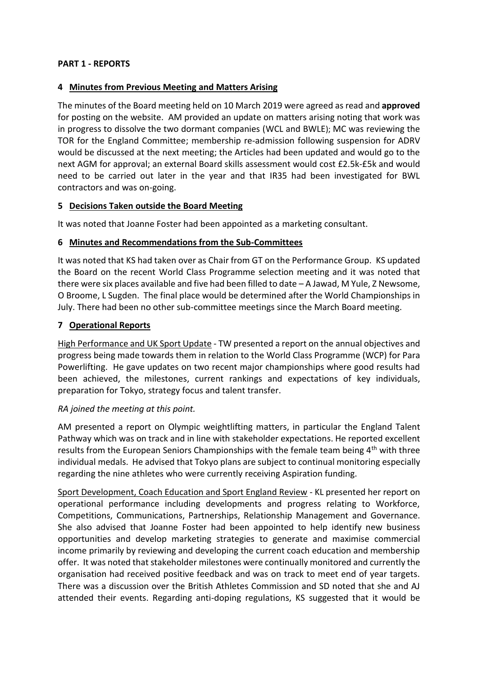#### **PART 1 - REPORTS**

#### **4 Minutes from Previous Meeting and Matters Arising**

The minutes of the Board meeting held on 10 March 2019 were agreed as read and **approved** for posting on the website. AM provided an update on matters arising noting that work was in progress to dissolve the two dormant companies (WCL and BWLE); MC was reviewing the TOR for the England Committee; membership re-admission following suspension for ADRV would be discussed at the next meeting; the Articles had been updated and would go to the next AGM for approval; an external Board skills assessment would cost £2.5k-£5k and would need to be carried out later in the year and that IR35 had been investigated for BWL contractors and was on-going.

#### **5 Decisions Taken outside the Board Meeting**

It was noted that Joanne Foster had been appointed as a marketing consultant.

#### **6 Minutes and Recommendations from the Sub-Committees**

It was noted that KS had taken over as Chair from GT on the Performance Group. KS updated the Board on the recent World Class Programme selection meeting and it was noted that there were six places available and five had been filled to date – A Jawad, M Yule, Z Newsome, O Broome, L Sugden. The final place would be determined after the World Championships in July. There had been no other sub-committee meetings since the March Board meeting.

## **7 Operational Reports**

High Performance and UK Sport Update - TW presented a report on the annual objectives and progress being made towards them in relation to the World Class Programme (WCP) for Para Powerlifting. He gave updates on two recent major championships where good results had been achieved, the milestones, current rankings and expectations of key individuals, preparation for Tokyo, strategy focus and talent transfer.

#### *RA joined the meeting at this point.*

AM presented a report on Olympic weightlifting matters, in particular the England Talent Pathway which was on track and in line with stakeholder expectations. He reported excellent results from the European Seniors Championships with the female team being 4<sup>th</sup> with three individual medals. He advised that Tokyo plans are subject to continual monitoring especially regarding the nine athletes who were currently receiving Aspiration funding.

Sport Development, Coach Education and Sport England Review - KL presented her report on operational performance including developments and progress relating to Workforce, Competitions, Communications, Partnerships, Relationship Management and Governance. She also advised that Joanne Foster had been appointed to help identify new business opportunities and develop marketing strategies to generate and maximise commercial income primarily by reviewing and developing the current coach education and membership offer. It was noted that stakeholder milestones were continually monitored and currently the organisation had received positive feedback and was on track to meet end of year targets. There was a discussion over the British Athletes Commission and SD noted that she and AJ attended their events. Regarding anti-doping regulations, KS suggested that it would be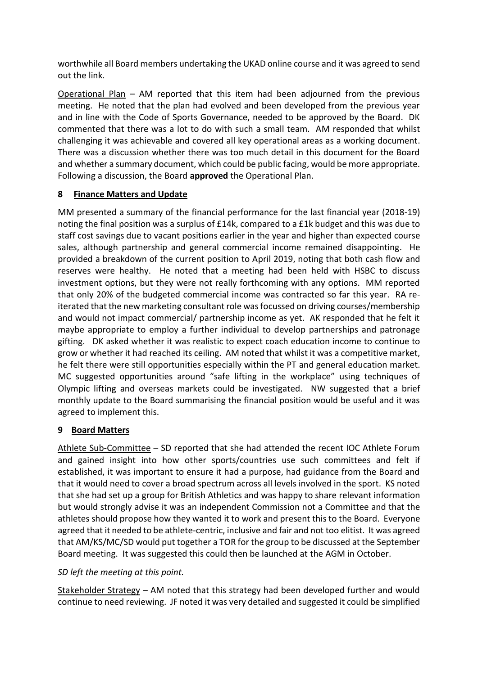worthwhile all Board members undertaking the UKAD online course and it was agreed to send out the link.

Operational Plan – AM reported that this item had been adjourned from the previous meeting. He noted that the plan had evolved and been developed from the previous year and in line with the Code of Sports Governance, needed to be approved by the Board. DK commented that there was a lot to do with such a small team. AM responded that whilst challenging it was achievable and covered all key operational areas as a working document. There was a discussion whether there was too much detail in this document for the Board and whether a summary document, which could be public facing, would be more appropriate. Following a discussion, the Board **approved** the Operational Plan.

## **8 Finance Matters and Update**

MM presented a summary of the financial performance for the last financial year (2018-19) noting the final position was a surplus of £14k, compared to a £1k budget and this was due to staff cost savings due to vacant positions earlier in the year and higher than expected course sales, although partnership and general commercial income remained disappointing. He provided a breakdown of the current position to April 2019, noting that both cash flow and reserves were healthy. He noted that a meeting had been held with HSBC to discuss investment options, but they were not really forthcoming with any options. MM reported that only 20% of the budgeted commercial income was contracted so far this year. RA reiterated that the new marketing consultant role was focussed on driving courses/membership and would not impact commercial/ partnership income as yet. AK responded that he felt it maybe appropriate to employ a further individual to develop partnerships and patronage gifting. DK asked whether it was realistic to expect coach education income to continue to grow or whether it had reached its ceiling. AM noted that whilst it was a competitive market, he felt there were still opportunities especially within the PT and general education market. MC suggested opportunities around "safe lifting in the workplace" using techniques of Olympic lifting and overseas markets could be investigated. NW suggested that a brief monthly update to the Board summarising the financial position would be useful and it was agreed to implement this.

## **9 Board Matters**

Athlete Sub-Committee – SD reported that she had attended the recent IOC Athlete Forum and gained insight into how other sports/countries use such committees and felt if established, it was important to ensure it had a purpose, had guidance from the Board and that it would need to cover a broad spectrum across all levels involved in the sport. KS noted that she had set up a group for British Athletics and was happy to share relevant information but would strongly advise it was an independent Commission not a Committee and that the athletes should propose how they wanted it to work and present this to the Board. Everyone agreed that it needed to be athlete-centric, inclusive and fair and not too elitist. It was agreed that AM/KS/MC/SD would put together a TOR for the group to be discussed at the September Board meeting. It was suggested this could then be launched at the AGM in October.

## *SD left the meeting at this point.*

Stakeholder Strategy – AM noted that this strategy had been developed further and would continue to need reviewing. JF noted it was very detailed and suggested it could be simplified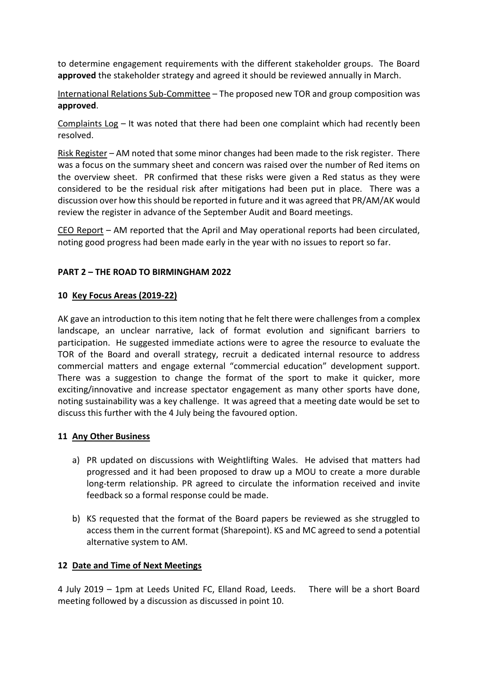to determine engagement requirements with the different stakeholder groups. The Board **approved** the stakeholder strategy and agreed it should be reviewed annually in March.

International Relations Sub-Committee – The proposed new TOR and group composition was **approved**.

Complaints Log – It was noted that there had been one complaint which had recently been resolved.

Risk Register – AM noted that some minor changes had been made to the risk register. There was a focus on the summary sheet and concern was raised over the number of Red items on the overview sheet. PR confirmed that these risks were given a Red status as they were considered to be the residual risk after mitigations had been put in place. There was a discussion over how this should be reported in future and it was agreed that PR/AM/AK would review the register in advance of the September Audit and Board meetings.

CEO Report – AM reported that the April and May operational reports had been circulated, noting good progress had been made early in the year with no issues to report so far.

## **PART 2 – THE ROAD TO BIRMINGHAM 2022**

#### **10 Key Focus Areas (2019-22)**

AK gave an introduction to this item noting that he felt there were challenges from a complex landscape, an unclear narrative, lack of format evolution and significant barriers to participation. He suggested immediate actions were to agree the resource to evaluate the TOR of the Board and overall strategy, recruit a dedicated internal resource to address commercial matters and engage external "commercial education" development support. There was a suggestion to change the format of the sport to make it quicker, more exciting/innovative and increase spectator engagement as many other sports have done, noting sustainability was a key challenge. It was agreed that a meeting date would be set to discuss this further with the 4 July being the favoured option.

## **11 Any Other Business**

- a) PR updated on discussions with Weightlifting Wales. He advised that matters had progressed and it had been proposed to draw up a MOU to create a more durable long-term relationship. PR agreed to circulate the information received and invite feedback so a formal response could be made.
- b) KS requested that the format of the Board papers be reviewed as she struggled to access them in the current format (Sharepoint). KS and MC agreed to send a potential alternative system to AM.

## **12 Date and Time of Next Meetings**

4 July 2019 – 1pm at Leeds United FC, Elland Road, Leeds. There will be a short Board meeting followed by a discussion as discussed in point 10.